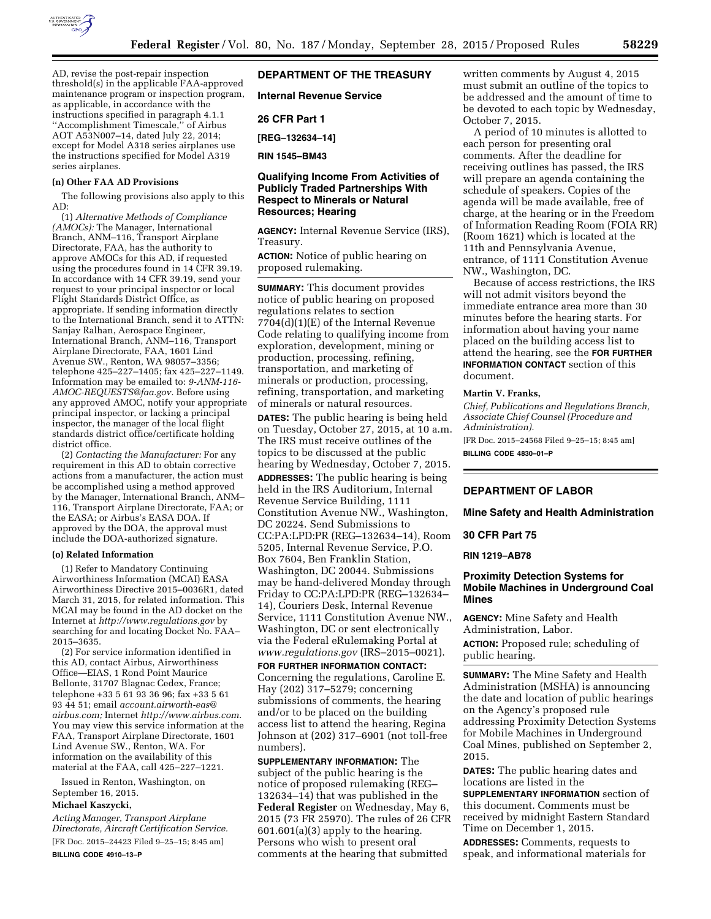

AD, revise the post-repair inspection threshold(s) in the applicable FAA-approved maintenance program or inspection program, as applicable, in accordance with the instructions specified in paragraph 4.1.1 ''Accomplishment Timescale,'' of Airbus AOT A53N007–14, dated July 22, 2014; except for Model A318 series airplanes use the instructions specified for Model A319 series airplanes.

#### **(n) Other FAA AD Provisions**

The following provisions also apply to this AD:

(1) *Alternative Methods of Compliance (AMOCs):* The Manager, International Branch, ANM–116, Transport Airplane Directorate, FAA, has the authority to approve AMOCs for this AD, if requested using the procedures found in 14 CFR 39.19. In accordance with 14 CFR 39.19, send your request to your principal inspector or local Flight Standards District Office, as appropriate. If sending information directly to the International Branch, send it to ATTN: Sanjay Ralhan, Aerospace Engineer, International Branch, ANM–116, Transport Airplane Directorate, FAA, 1601 Lind Avenue SW., Renton, WA 98057–3356; telephone 425–227–1405; fax 425–227–1149. Information may be emailed to: *[9-ANM-116-](mailto:9-ANM-116-AMOC-REQUESTS@faa.gov) [AMOC-REQUESTS@faa.gov.](mailto:9-ANM-116-AMOC-REQUESTS@faa.gov)* Before using any approved AMOC, notify your appropriate principal inspector, or lacking a principal inspector, the manager of the local flight standards district office/certificate holding district office.

(2) *Contacting the Manufacturer:* For any requirement in this AD to obtain corrective actions from a manufacturer, the action must be accomplished using a method approved by the Manager, International Branch, ANM– 116, Transport Airplane Directorate, FAA; or the EASA; or Airbus's EASA DOA. If approved by the DOA, the approval must include the DOA-authorized signature.

### **(o) Related Information**

(1) Refer to Mandatory Continuing Airworthiness Information (MCAI) EASA Airworthiness Directive 2015–0036R1, dated March 31, 2015, for related information. This MCAI may be found in the AD docket on the Internet at *<http://www.regulations.gov>*by searching for and locating Docket No. FAA-2015–3635.

(2) For service information identified in this AD, contact Airbus, Airworthiness Office—EIAS, 1 Rond Point Maurice Bellonte, 31707 Blagnac Cedex, France; telephone +33 5 61 93 36 96; fax +33 5 61 93 44 51; email *[account.airworth-eas@](mailto:account.airworth-eas@airbus.com) [airbus.com;](mailto:account.airworth-eas@airbus.com)* Internet *[http://www.airbus.com.](http://www.airbus.com)*  You may view this service information at the FAA, Transport Airplane Directorate, 1601 Lind Avenue SW., Renton, WA. For information on the availability of this material at the FAA, call 425–227–1221.

Issued in Renton, Washington, on September 16, 2015.

### **Michael Kaszycki,**

*Acting Manager, Transport Airplane Directorate, Aircraft Certification Service.*  [FR Doc. 2015–24423 Filed 9–25–15; 8:45 am] **BILLING CODE 4910–13–P** 

### **DEPARTMENT OF THE TREASURY**

**Internal Revenue Service** 

### **26 CFR Part 1**

**[REG–132634–14]** 

**RIN 1545–BM43** 

# **Qualifying Income From Activities of Publicly Traded Partnerships With Respect to Minerals or Natural Resources; Hearing**

**AGENCY:** Internal Revenue Service (IRS), Treasury.

**ACTION:** Notice of public hearing on proposed rulemaking.

**SUMMARY:** This document provides notice of public hearing on proposed regulations relates to section 7704(d)(1)(E) of the Internal Revenue Code relating to qualifying income from exploration, development, mining or production, processing, refining, transportation, and marketing of minerals or production, processing, refining, transportation, and marketing of minerals or natural resources.

**DATES:** The public hearing is being held on Tuesday, October 27, 2015, at 10 a.m. The IRS must receive outlines of the topics to be discussed at the public hearing by Wednesday, October 7, 2015. **ADDRESSES:** The public hearing is being held in the IRS Auditorium, Internal Revenue Service Building, 1111 Constitution Avenue NW., Washington, DC 20224. Send Submissions to CC:PA:LPD:PR (REG–132634–14), Room 5205, Internal Revenue Service, P.O. Box 7604, Ben Franklin Station, Washington, DC 20044. Submissions may be hand-delivered Monday through Friday to CC:PA:LPD:PR (REG–132634– 14), Couriers Desk, Internal Revenue Service, 1111 Constitution Avenue NW., Washington, DC or sent electronically via the Federal eRulemaking Portal at *[www.regulations.gov](http://www.regulations.gov)* (IRS–2015–0021).

**FOR FURTHER INFORMATION CONTACT:**  Concerning the regulations, Caroline E. Hay (202) 317–5279; concerning submissions of comments, the hearing and/or to be placed on the building access list to attend the hearing, Regina Johnson at (202) 317–6901 (not toll-free numbers).

**SUPPLEMENTARY INFORMATION:** The subject of the public hearing is the notice of proposed rulemaking (REG– 132634–14) that was published in the **Federal Register** on Wednesday, May 6, 2015 (73 FR 25970). The rules of 26 CFR 601.601(a)(3) apply to the hearing. Persons who wish to present oral comments at the hearing that submitted

written comments by August 4, 2015 must submit an outline of the topics to be addressed and the amount of time to be devoted to each topic by Wednesday, October 7, 2015.

A period of 10 minutes is allotted to each person for presenting oral comments. After the deadline for receiving outlines has passed, the IRS will prepare an agenda containing the schedule of speakers. Copies of the agenda will be made available, free of charge, at the hearing or in the Freedom of Information Reading Room (FOIA RR) (Room 1621) which is located at the 11th and Pennsylvania Avenue, entrance, of 1111 Constitution Avenue NW., Washington, DC.

Because of access restrictions, the IRS will not admit visitors beyond the immediate entrance area more than 30 minutes before the hearing starts. For information about having your name placed on the building access list to attend the hearing, see the **FOR FURTHER INFORMATION CONTACT** section of this document.

#### **Martin V. Franks,**

*Chief, Publications and Regulations Branch, Associate Chief Counsel (Procedure and Administration).* 

[FR Doc. 2015–24568 Filed 9–25–15; 8:45 am] **BILLING CODE 4830–01–P** 

**DEPARTMENT OF LABOR** 

**Mine Safety and Health Administration** 

### **30 CFR Part 75**

**RIN 1219–AB78** 

# **Proximity Detection Systems for Mobile Machines in Underground Coal Mines**

**AGENCY:** Mine Safety and Health Administration, Labor. **ACTION:** Proposed rule; scheduling of public hearing.

**SUMMARY:** The Mine Safety and Health Administration (MSHA) is announcing the date and location of public hearings on the Agency's proposed rule addressing Proximity Detection Systems for Mobile Machines in Underground Coal Mines, published on September 2, 2015.

**DATES:** The public hearing dates and locations are listed in the **SUPPLEMENTARY INFORMATION** section of this document. Comments must be received by midnight Eastern Standard Time on December 1, 2015.

**ADDRESSES:** Comments, requests to speak, and informational materials for